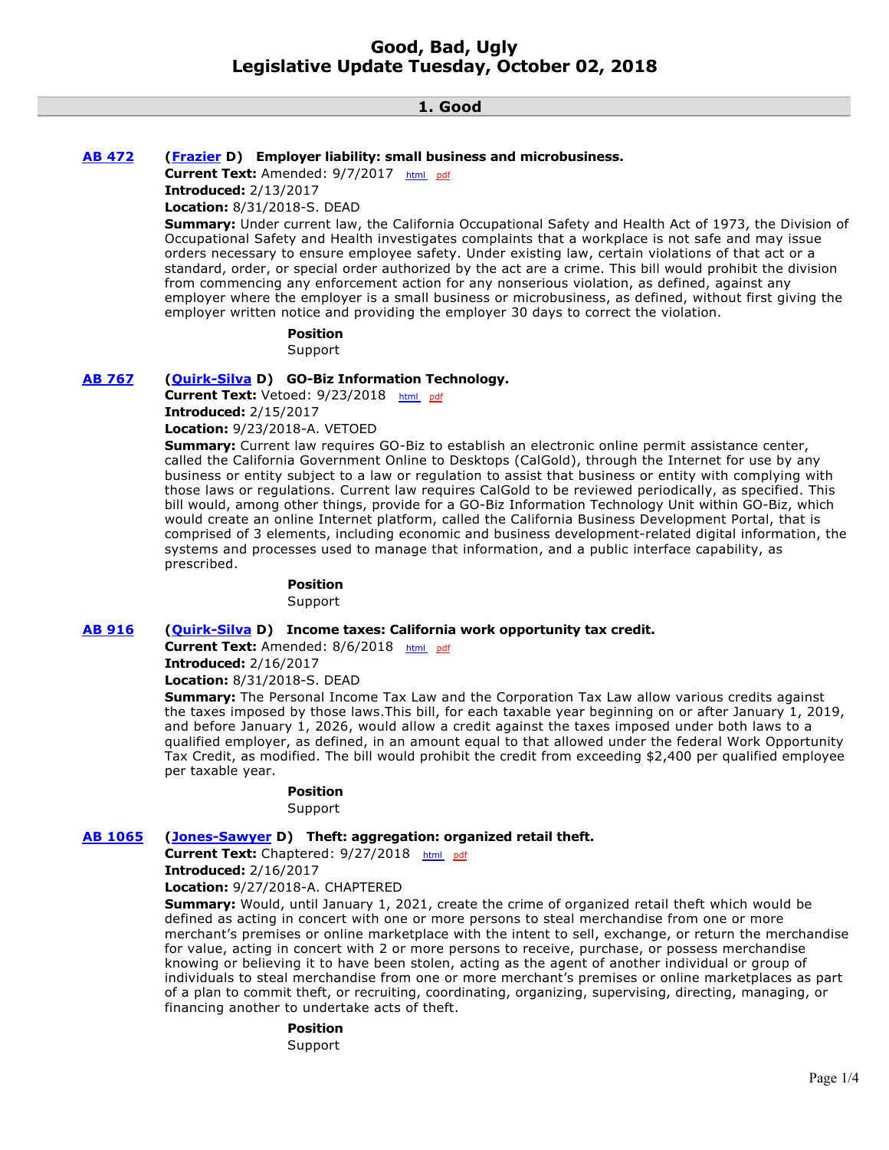# **1. Good**

### **[AB 472](http://ctweb.capitoltrack.com/public/publishbillinfo.aspx?bi=TxhjCDglmorSdEmrqu6fWALEsqOHC6oA4RfJGWI0myC%2FO8zrY05iyypJPBk9mfRA) [\(Frazier](https://a11.asmdc.org/) D) Employer liability: small business and microbusiness.**

Current Text: Amended: 9/7/2017 [html](http://ct3k1.capitoltrack.com/Bills/17Bills%5Casm%5Cab_0451-0500%5Cab_472_96_A_bill.htm) [pdf](http://ct3k1.capitoltrack.com/Bills/17Bills%5Casm%5Cab_0451-0500%5Cab_472_96_A_bill.pdf)

**Introduced:** 2/13/2017

**Location:** 8/31/2018-S. DEAD

**Summary:** Under current law, the California Occupational Safety and Health Act of 1973, the Division of Occupational Safety and Health investigates complaints that a workplace is not safe and may issue orders necessary to ensure employee safety. Under existing law, certain violations of that act or a standard, order, or special order authorized by the act are a crime. This bill would prohibit the division from commencing any enforcement action for any nonserious violation, as defined, against any employer where the employer is a small business or microbusiness, as defined, without first giving the employer written notice and providing the employer 30 days to correct the violation.

# **Position**

Support

# **[AB 767](http://ctweb.capitoltrack.com/public/publishbillinfo.aspx?bi=rN9qHKM%2BAr0yHVEErl%2BDclXJ1zir07gH2Ha%2FMo8NBNSPkj7geR1KORUHC3DVm5u%2F) [\(Quirk-Silva](https://a65.asmdc.org/) D) GO-Biz Information Technology.**

Current Text: Vetoed: 9/23/2018 [html](http://ct3k1.capitoltrack.com/Bills/17Bills%5Casm%5Cab_0751-0800%5Cab_767_92_E_bill.htm) [pdf](http://ct3k1.capitoltrack.com/Bills/17Bills%5Casm%5Cab_0751-0800%5Cab_767_92_E_bill.pdf) **Introduced:** 2/15/2017

**Location:** 9/23/2018-A. VETOED

**Summary:** Current law requires GO-Biz to establish an electronic online permit assistance center, called the California Government Online to Desktops (CalGold), through the Internet for use by any business or entity subject to a law or regulation to assist that business or entity with complying with those laws or regulations. Current law requires CalGold to be reviewed periodically, as specified. This bill would, among other things, provide for a GO-Biz Information Technology Unit within GO-Biz, which would create an online Internet platform, called the California Business Development Portal, that is comprised of 3 elements, including economic and business development-related digital information, the systems and processes used to manage that information, and a public interface capability, as prescribed.

### **Position**

Support

## **[AB 916](http://ctweb.capitoltrack.com/public/publishbillinfo.aspx?bi=wfWKLsfLyDCEQHJ5Y%2F4xdk45GHm%2Bx9RAGpEZ43gV554ZoWiXWq6Rk46g%2Bm0Qgyvd) [\(Quirk-Silva](https://a65.asmdc.org/) D) Income taxes: California work opportunity tax credit.**

Current Text: Amended: 8/6/2018 [html](http://ct3k1.capitoltrack.com/Bills/17Bills%5Casm%5Cab_0901-0950%5Cab_916_96_A_bill.htm) [pdf](http://ct3k1.capitoltrack.com/Bills/17Bills%5Casm%5Cab_0901-0950%5Cab_916_96_A_bill.pdf)

**Introduced:** 2/16/2017

**Location:** 8/31/2018-S. DEAD

**Summary:** The Personal Income Tax Law and the Corporation Tax Law allow various credits against the taxes imposed by those laws.This bill, for each taxable year beginning on or after January 1, 2019, and before January 1, 2026, would allow a credit against the taxes imposed under both laws to a qualified employer, as defined, in an amount equal to that allowed under the federal Work Opportunity Tax Credit, as modified. The bill would prohibit the credit from exceeding \$2,400 per qualified employee per taxable year.

## **Position**

Support

# **[AB 1065](http://ctweb.capitoltrack.com/public/publishbillinfo.aspx?bi=qeOkBgDUWXp0ReXWKgSOT0bD5J0iVhhlJwSC3%2FI%2FN7gXhMl3HrydpqoGQ7nd00EB) [\(Jones-Sawyer](https://a59.asmdc.org/) D) Theft: aggregation: organized retail theft.**

Current Text: Chaptered: 9/27/2018 [html](http://ct3k1.capitoltrack.com/Bills/17Bills%5Casm%5Cab_1051-1100%5Cab_1065_92_C_bill.htm) [pdf](http://ct3k1.capitoltrack.com/Bills/17Bills%5Casm%5Cab_1051-1100%5Cab_1065_92_C_bill.pdf)

**Introduced:** 2/16/2017

**Location:** 9/27/2018-A. CHAPTERED

**Summary:** Would, until January 1, 2021, create the crime of organized retail theft which would be defined as acting in concert with one or more persons to steal merchandise from one or more merchant's premises or online marketplace with the intent to sell, exchange, or return the merchandise for value, acting in concert with 2 or more persons to receive, purchase, or possess merchandise knowing or believing it to have been stolen, acting as the agent of another individual or group of individuals to steal merchandise from one or more merchant's premises or online marketplaces as part of a plan to commit theft, or recruiting, coordinating, organizing, supervising, directing, managing, or financing another to undertake acts of theft.

**Position** 

Support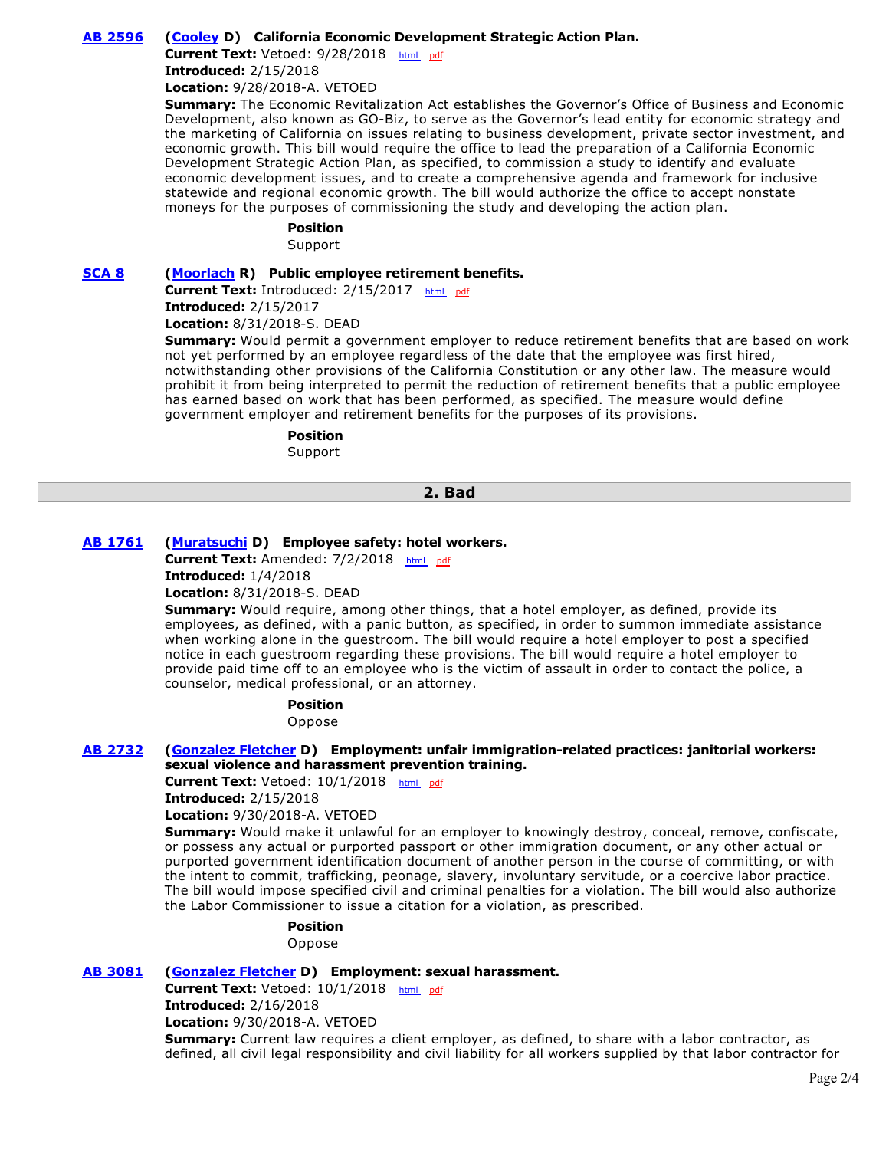# **[AB 2596](http://ctweb.capitoltrack.com/public/publishbillinfo.aspx?bi=dzBv6hp4J3l7rRR1wStLU8rfot1a8%2BnWrIT7JBpqOaUPAtdUY7XBGkQDSDnHUsfW) [\(Cooley](https://a08.asmdc.org/) D) California Economic Development Strategic Action Plan.**

Current Text: Vetoed: 9/28/2018 [html](http://ct3k1.capitoltrack.com/Bills/17Bills%5Casm%5Cab_2551-2600%5Cab_2596_95_E_bill.htm) [pdf](http://ct3k1.capitoltrack.com/Bills/17Bills%5Casm%5Cab_2551-2600%5Cab_2596_95_E_bill.pdf) **Introduced:** 2/15/2018

**Location:** 9/28/2018-A. VETOED

**Summary:** The Economic Revitalization Act establishes the Governor's Office of Business and Economic Development, also known as GO-Biz, to serve as the Governor's lead entity for economic strategy and the marketing of California on issues relating to business development, private sector investment, and economic growth. This bill would require the office to lead the preparation of a California Economic Development Strategic Action Plan, as specified, to commission a study to identify and evaluate economic development issues, and to create a comprehensive agenda and framework for inclusive statewide and regional economic growth. The bill would authorize the office to accept nonstate moneys for the purposes of commissioning the study and developing the action plan.

#### **Position**

Support

### **[SCA 8](http://ctweb.capitoltrack.com/public/publishbillinfo.aspx?bi=s6nT08ZU7PJgJl1umzUmvoDvi1Xg9KKTKi1lheuEQkpsd28wCnIzPk%2FksfIRBcqz) [\(Moorlach](https://moorlach.cssrc.us/) R) Public employee retirement benefits.**

**Current Text:** Introduced: 2/15/2017 [html](http://ct3k1.capitoltrack.com/Bills/17Bills%5Csen%5Csb_0001-0050%5Csca_8_99_I_bill.htm)  [pdf](http://ct3k1.capitoltrack.com/Bills/17Bills%5Csen%5Csb_0001-0050%5Csca_8_99_I_bill.pdf) **Introduced:** 2/15/2017

**Location:** 8/31/2018-S. DEAD

**Summary:** Would permit a government employer to reduce retirement benefits that are based on work not yet performed by an employee regardless of the date that the employee was first hired, notwithstanding other provisions of the California Constitution or any other law. The measure would prohibit it from being interpreted to permit the reduction of retirement benefits that a public employee has earned based on work that has been performed, as specified. The measure would define government employer and retirement benefits for the purposes of its provisions.

# **Position**

Support

#### **2. Bad**

### **[AB 1761](http://ctweb.capitoltrack.com/public/publishbillinfo.aspx?bi=Xczbyw2MU%2F4XtRAE1KM7hMkGfh530mO4DTE3pJVosVmTmt8lt%2Bp7t8LCs9Hr%2FgWS) [\(Muratsuchi](https://a66.asmdc.org/) D) Employee safety: hotel workers.**

Current Text: Amended: 7/2/2018 [html](http://ct3k1.capitoltrack.com/Bills/17Bills%5Casm%5Cab_1751-1800%5Cab_1761_95_A_bill.htm) [pdf](http://ct3k1.capitoltrack.com/Bills/17Bills%5Casm%5Cab_1751-1800%5Cab_1761_95_A_bill.pdf)

**Introduced:** 1/4/2018

**Location:** 8/31/2018-S. DEAD

**Summary:** Would require, among other things, that a hotel employer, as defined, provide its employees, as defined, with a panic button, as specified, in order to summon immediate assistance when working alone in the guestroom. The bill would require a hotel employer to post a specified notice in each guestroom regarding these provisions. The bill would require a hotel employer to provide paid time off to an employee who is the victim of assault in order to contact the police, a counselor, medical professional, or an attorney.

#### **Position**

Oppose

#### **[AB 2732](http://ctweb.capitoltrack.com/public/publishbillinfo.aspx?bi=Ql7JWOUjVTiaeBDuFiBiiXIpOmtczwcgF9cg3MKja5wgmvy4ZrERmCjjWQCwpfFP) [\(Gonzalez Fletcher](https://a80.asmdc.org/) D) Employment: unfair immigration-related practices: janitorial workers: sexual violence and harassment prevention training.**

Current Text: Vetoed: 10/1/2018 [html](http://ct3k1.capitoltrack.com/Bills/17Bills%5Casm%5Cab_2701-2750%5Cab_2732_91_E_bill.htm) [pdf](http://ct3k1.capitoltrack.com/Bills/17Bills%5Casm%5Cab_2701-2750%5Cab_2732_91_E_bill.pdf)

**Introduced:** 2/15/2018

**Location:** 9/30/2018-A. VETOED

**Summary:** Would make it unlawful for an employer to knowingly destroy, conceal, remove, confiscate, or possess any actual or purported passport or other immigration document, or any other actual or purported government identification document of another person in the course of committing, or with the intent to commit, trafficking, peonage, slavery, involuntary servitude, or a coercive labor practice. The bill would impose specified civil and criminal penalties for a violation. The bill would also authorize the Labor Commissioner to issue a citation for a violation, as prescribed.

# **Position**

Oppose

#### **[AB 3081](http://ctweb.capitoltrack.com/public/publishbillinfo.aspx?bi=see%2FZLlL9JGD3Gwntgj65HXvbqVoJAz1wnMQwdgZBQx52WO2ORzaRHNIuOFC43BF) [\(Gonzalez Fletcher](https://a80.asmdc.org/) D) Employment: sexual harassment.**

Current Text: Vetoed: 10/1/2018 [html](http://ct3k1.capitoltrack.com/Bills/17Bills%5Casm%5Cab_3051-3100%5Cab_3081_91_E_bill.htm) [pdf](http://ct3k1.capitoltrack.com/Bills/17Bills%5Casm%5Cab_3051-3100%5Cab_3081_91_E_bill.pdf) **Introduced:** 2/16/2018 **Location:** 9/30/2018-A. VETOED **Summary:** Current law requires a client employer, as defined, to share with a labor contractor, as defined, all civil legal responsibility and civil liability for all workers supplied by that labor contractor for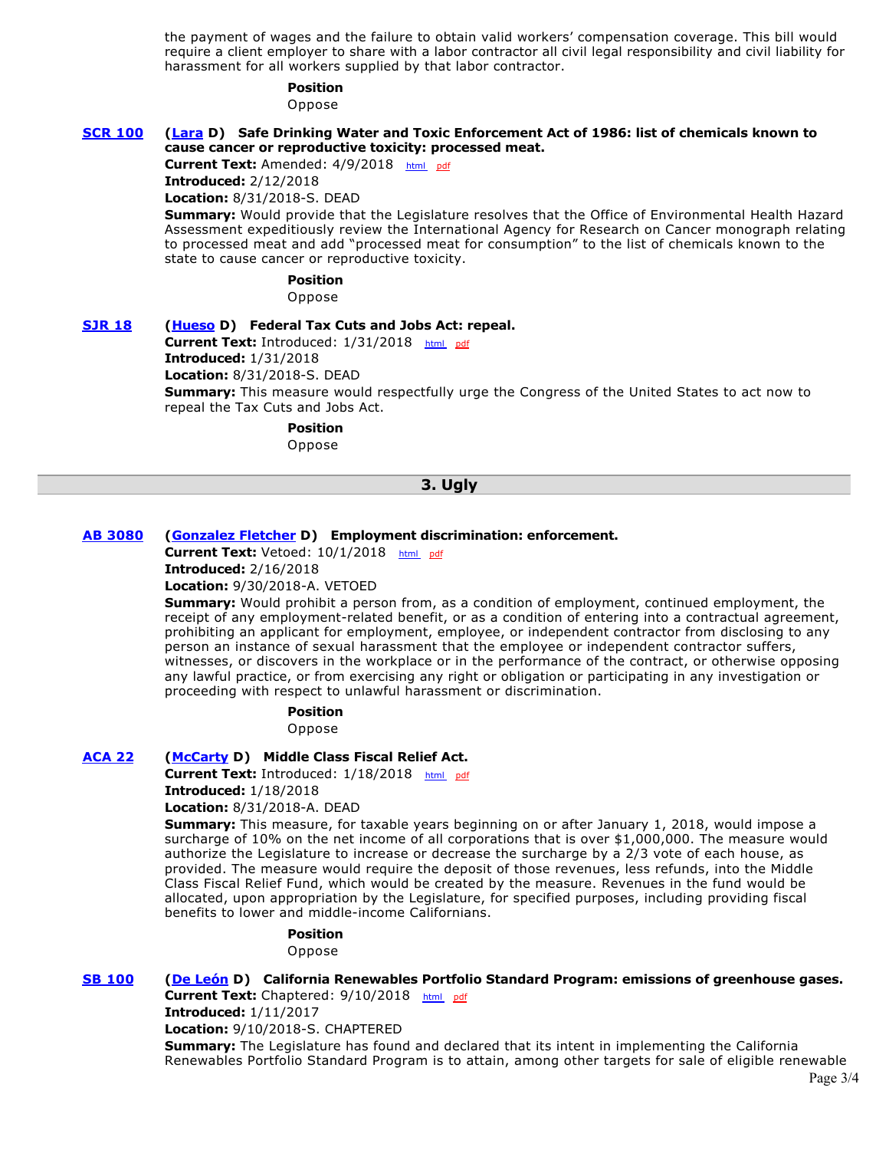the payment of wages and the failure to obtain valid workers' compensation coverage. This bill would require a client employer to share with a labor contractor all civil legal responsibility and civil liability for harassment for all workers supplied by that labor contractor.

# **Position**

Oppose

### **[SCR 100](http://ctweb.capitoltrack.com/public/publishbillinfo.aspx?bi=hi2MJJ26Ef4%2BJnun2UvX8nJGR3GzsdlJIGoWNvd8PMKUYNhFZIf%2BAp8JsGEPW8S5) [\(Lara](http://sd33.senate.ca.gov/) D) Safe Drinking Water and Toxic Enforcement Act of 1986: list of chemicals known to cause cancer or reproductive toxicity: processed meat.**

**Current Text:** Amended: 4/9/2018 [html](http://ct3k1.capitoltrack.com/Bills/17Bills%5Csen%5Csb_0051-0100%5Cscr_100_98_A_bill.htm)  [pdf](http://ct3k1.capitoltrack.com/Bills/17Bills%5Csen%5Csb_0051-0100%5Cscr_100_98_A_bill.pdf)

**Introduced:** 2/12/2018

**Location:** 8/31/2018-S. DEAD

**Summary:** Would provide that the Legislature resolves that the Office of Environmental Health Hazard Assessment expeditiously review the International Agency for Research on Cancer monograph relating to processed meat and add "processed meat for consumption" to the list of chemicals known to the state to cause cancer or reproductive toxicity.

# **Position**

Oppose

**[SJR 18](http://ctweb.capitoltrack.com/public/publishbillinfo.aspx?bi=FpJgizt1tpE3IK8ZqN0KaE7H6mL7DzTjynssg7yvQrO04MdqdyPsnrIwg7rmCzFf) [\(Hueso](http://sd40.senate.ca.gov/) D) Federal Tax Cuts and Jobs Act: repeal. Current Text:** Introduced: 1/31/2018 [html](http://ct3k1.capitoltrack.com/Bills/17Bills%5Csen%5Csb_0001-0050%5Csjr_18_99_I_bill.htm)  [pdf](http://ct3k1.capitoltrack.com/Bills/17Bills%5Csen%5Csb_0001-0050%5Csjr_18_99_I_bill.pdf) **Introduced:** 1/31/2018 **Location:** 8/31/2018-S. DEAD **Summary:** This measure would respectfully urge the Congress of the United States to act now to repeal the Tax Cuts and Jobs Act.

> **Position**  Oppose

# **3. Ugly**

# **[AB 3080](http://ctweb.capitoltrack.com/public/publishbillinfo.aspx?bi=4vWJOgDTkT6IoLMCc6MrBS8yTCAkwea%2BqrKoueTbgGzQnlnnIvOGJ%2B6Yt1d%2BZpb%2F) [\(Gonzalez Fletcher](https://a80.asmdc.org/) D) Employment discrimination: enforcement.**

Current Text: Vetoed: 10/1/2018 [html](http://ct3k1.capitoltrack.com/Bills/17Bills%5Casm%5Cab_3051-3100%5Cab_3080_96_E_bill.htm) [pdf](http://ct3k1.capitoltrack.com/Bills/17Bills%5Casm%5Cab_3051-3100%5Cab_3080_96_E_bill.pdf)

**Introduced:** 2/16/2018

**Location:** 9/30/2018-A. VETOED

**Summary:** Would prohibit a person from, as a condition of employment, continued employment, the receipt of any employment-related benefit, or as a condition of entering into a contractual agreement, prohibiting an applicant for employment, employee, or independent contractor from disclosing to any person an instance of sexual harassment that the employee or independent contractor suffers, witnesses, or discovers in the workplace or in the performance of the contract, or otherwise opposing any lawful practice, or from exercising any right or obligation or participating in any investigation or proceeding with respect to unlawful harassment or discrimination.

> **Position**  Oppose

**[ACA 22](http://ctweb.capitoltrack.com/public/publishbillinfo.aspx?bi=u1mgAIDT9KTuoirNOtCy164eXDj8lik%2FhfEVPLmd609Bn1P%2BfvG1U7YeQlP9gUgb) [\(McCarty](https://a07.asmdc.org/) D) Middle Class Fiscal Relief Act.**

Current Text: Introduced: 1/18/2018 [html](http://ct3k1.capitoltrack.com/Bills/17Bills%5Casm%5Cab_0001-0050%5Caca_22_99_I_bill.htm) [pdf](http://ct3k1.capitoltrack.com/Bills/17Bills%5Casm%5Cab_0001-0050%5Caca_22_99_I_bill.pdf) **Introduced:** 1/18/2018

**Location:** 8/31/2018-A. DEAD

**Summary:** This measure, for taxable years beginning on or after January 1, 2018, would impose a surcharge of 10% on the net income of all corporations that is over \$1,000,000. The measure would authorize the Legislature to increase or decrease the surcharge by a 2/3 vote of each house, as provided. The measure would require the deposit of those revenues, less refunds, into the Middle Class Fiscal Relief Fund, which would be created by the measure. Revenues in the fund would be allocated, upon appropriation by the Legislature, for specified purposes, including providing fiscal benefits to lower and middle-income Californians.

> **Position**  Oppose

# **[SB 100](http://ctweb.capitoltrack.com/public/publishbillinfo.aspx?bi=lNCKZz8G1OmCZiE5eCcIfA%2FYkze4rUK7YxSF0h3kjcwA18D7oHNnog1Rv9m40dhJ) [\(De León](http://sd24.senate.ca.gov/) D) California Renewables Portfolio Standard Program: emissions of greenhouse gases.**

Current Text: Chaptered: 9/10/2018 [html](http://ct3k1.capitoltrack.com/Bills/17Bills%5Csen%5Csb_0051-0100%5Csb_100_87_C_bill.htm) [pdf](http://ct3k1.capitoltrack.com/Bills/17Bills%5Csen%5Csb_0051-0100%5Csb_100_87_C_bill.pdf) **Introduced:** 1/11/2017

**Location:** 9/10/2018-S. CHAPTERED

**Summary:** The Legislature has found and declared that its intent in implementing the California Renewables Portfolio Standard Program is to attain, among other targets for sale of eligible renewable